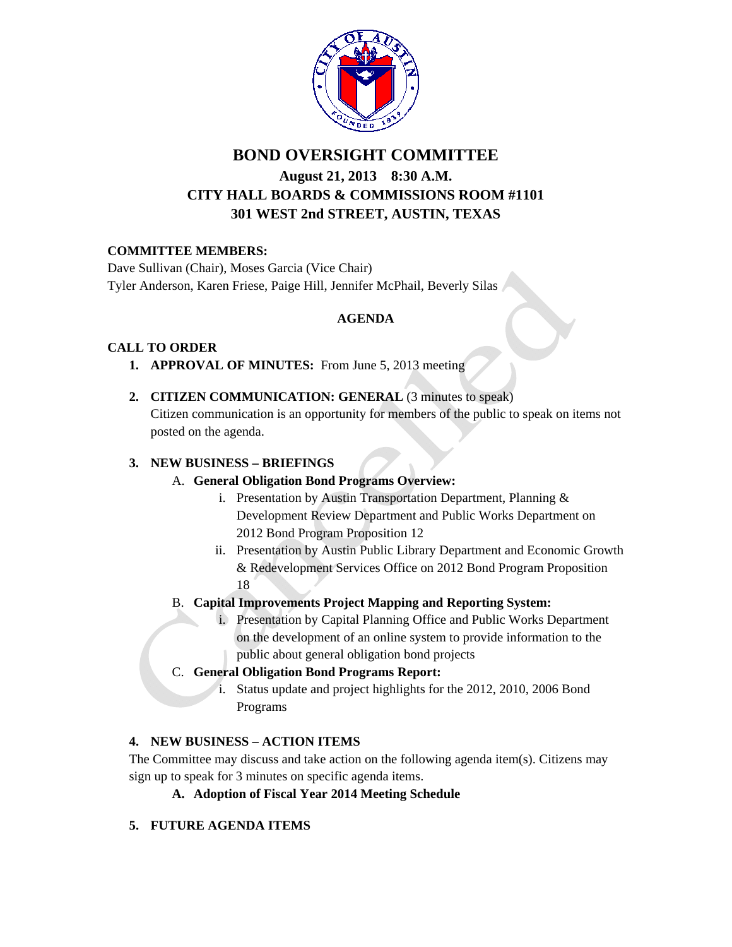

# **BOND OVERSIGHT COMMITTEE August 21, 2013 8:30 A.M. CITY HALL BOARDS & COMMISSIONS ROOM #1101 301 WEST 2nd STREET, AUSTIN, TEXAS**

### **COMMITTEE MEMBERS:**

Dave Sullivan (Chair), Moses Garcia (Vice Chair) Tyler Anderson, Karen Friese, Paige Hill, Jennifer McPhail, Beverly Silas

### **AGENDA**

## **CALL TO ORDER**

- **1. APPROVAL OF MINUTES:** From June 5, 2013 meeting
- **2. CITIZEN COMMUNICATION: GENERAL** (3 minutes to speak) Citizen communication is an opportunity for members of the public to speak on items not posted on the agenda.

### **3. NEW BUSINESS – BRIEFINGS**

#### A. **General Obligation Bond Programs Overview:**

- i. Presentation by Austin Transportation Department, Planning & Development Review Department and Public Works Department on 2012 Bond Program Proposition 12
- ii. Presentation by Austin Public Library Department and Economic Growth & Redevelopment Services Office on 2012 Bond Program Proposition 18

#### B. **Capital Improvements Project Mapping and Reporting System:**

i. Presentation by Capital Planning Office and Public Works Department on the development of an online system to provide information to the public about general obligation bond projects

#### C. **General Obligation Bond Programs Report:**

i. Status update and project highlights for the 2012, 2010, 2006 Bond Programs

#### **4. NEW BUSINESS – ACTION ITEMS**

The Committee may discuss and take action on the following agenda item(s). Citizens may sign up to speak for 3 minutes on specific agenda items.

**A. Adoption of Fiscal Year 2014 Meeting Schedule** 

## **5. FUTURE AGENDA ITEMS**